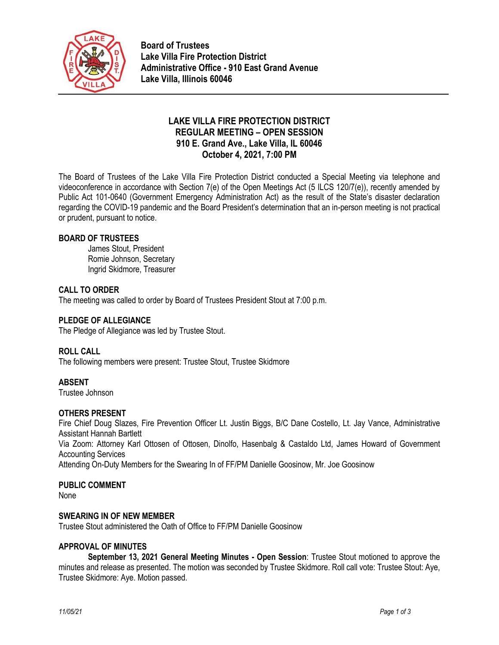

**Board of Trustees Lake Villa Fire Protection District Administrative Office - 910 East Grand Avenue Lake Villa, Illinois 60046**

# **LAKE VILLA FIRE PROTECTION DISTRICT REGULAR MEETING – OPEN SESSION 910 E. Grand Ave., Lake Villa, IL 60046 October 4, 2021, 7:00 PM**

The Board of Trustees of the Lake Villa Fire Protection District conducted a Special Meeting via telephone and videoconference in accordance with Section 7(e) of the Open Meetings Act (5 ILCS 120/7(e)), recently amended by Public Act 101-0640 (Government Emergency Administration Act) as the result of the State's disaster declaration regarding the COVID-19 pandemic and the Board President's determination that an in-person meeting is not practical or prudent, pursuant to notice.

# **BOARD OF TRUSTEES**

James Stout, President Romie Johnson, Secretary Ingrid Skidmore, Treasurer

# **CALL TO ORDER**

The meeting was called to order by Board of Trustees President Stout at 7:00 p.m.

# **PLEDGE OF ALLEGIANCE**

The Pledge of Allegiance was led by Trustee Stout.

#### **ROLL CALL**

The following members were present: Trustee Stout, Trustee Skidmore

# **ABSENT**

Trustee Johnson

#### **OTHERS PRESENT**

Fire Chief Doug Slazes, Fire Prevention Officer Lt. Justin Biggs, B/C Dane Costello, Lt. Jay Vance, Administrative Assistant Hannah Bartlett

Via Zoom: Attorney Karl Ottosen of Ottosen, Dinolfo, Hasenbalg & Castaldo Ltd, James Howard of Government Accounting Services

Attending On-Duty Members for the Swearing In of FF/PM Danielle Goosinow, Mr. Joe Goosinow

#### **PUBLIC COMMENT**

None

#### **SWEARING IN OF NEW MEMBER**

Trustee Stout administered the Oath of Office to FF/PM Danielle Goosinow

#### **APPROVAL OF MINUTES**

**September 13, 2021 General Meeting Minutes - Open Session**: Trustee Stout motioned to approve the minutes and release as presented. The motion was seconded by Trustee Skidmore. Roll call vote: Trustee Stout: Aye, Trustee Skidmore: Aye. Motion passed.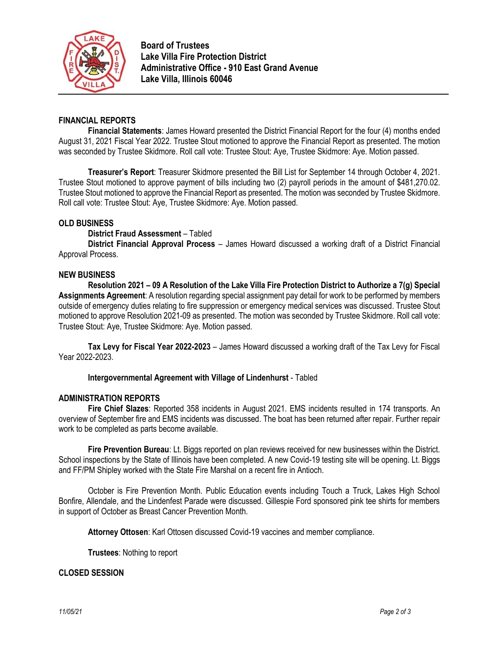

**Board of Trustees Lake Villa Fire Protection District Administrative Office - 910 East Grand Avenue Lake Villa, Illinois 60046**

# **FINANCIAL REPORTS**

**Financial Statements**: James Howard presented the District Financial Report for the four (4) months ended August 31, 2021 Fiscal Year 2022. Trustee Stout motioned to approve the Financial Report as presented. The motion was seconded by Trustee Skidmore. Roll call vote: Trustee Stout: Aye, Trustee Skidmore: Aye. Motion passed.

**Treasurer's Report**: Treasurer Skidmore presented the Bill List for September 14 through October 4, 2021. Trustee Stout motioned to approve payment of bills including two (2) payroll periods in the amount of \$481,270.02. Trustee Stout motioned to approve the Financial Report as presented. The motion was seconded by Trustee Skidmore. Roll call vote: Trustee Stout: Aye, Trustee Skidmore: Aye. Motion passed.

# **OLD BUSINESS**

**District Fraud Assessment** – Tabled

**District Financial Approval Process** – James Howard discussed a working draft of a District Financial Approval Process.

#### **NEW BUSINESS**

**Resolution 2021 – 09 A Resolution of the Lake Villa Fire Protection District to Authorize a 7(g) Special Assignments Agreement**: A resolution regarding special assignment pay detail for work to be performed by members outside of emergency duties relating to fire suppression or emergency medical services was discussed. Trustee Stout motioned to approve Resolution 2021-09 as presented. The motion was seconded by Trustee Skidmore. Roll call vote: Trustee Stout: Aye, Trustee Skidmore: Aye. Motion passed.

**Tax Levy for Fiscal Year 2022-2023** – James Howard discussed a working draft of the Tax Levy for Fiscal Year 2022-2023.

#### **Intergovernmental Agreement with Village of Lindenhurst** - Tabled

#### **ADMINISTRATION REPORTS**

**Fire Chief Slazes**: Reported 358 incidents in August 2021. EMS incidents resulted in 174 transports. An overview of September fire and EMS incidents was discussed. The boat has been returned after repair. Further repair work to be completed as parts become available.

**Fire Prevention Bureau**: Lt. Biggs reported on plan reviews received for new businesses within the District. School inspections by the State of Illinois have been completed. A new Covid-19 testing site will be opening. Lt. Biggs and FF/PM Shipley worked with the State Fire Marshal on a recent fire in Antioch.

October is Fire Prevention Month. Public Education events including Touch a Truck, Lakes High School Bonfire, Allendale, and the Lindenfest Parade were discussed. Gillespie Ford sponsored pink tee shirts for members in support of October as Breast Cancer Prevention Month.

**Attorney Ottosen**: Karl Ottosen discussed Covid-19 vaccines and member compliance.

**Trustees**: Nothing to report

#### **CLOSED SESSION**